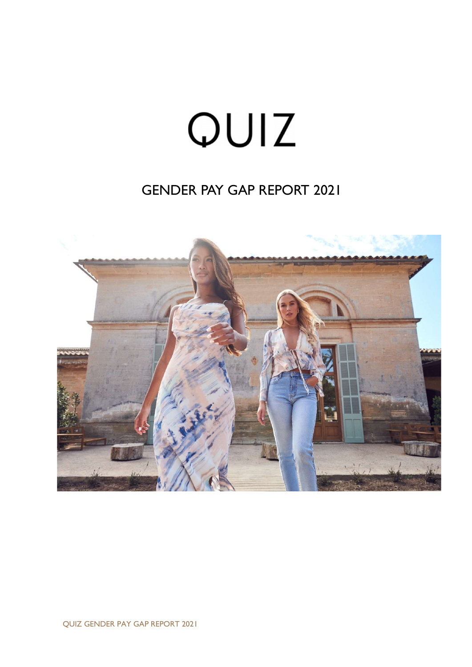# QUIZ

# GENDER PAY GAP REPORT 2021

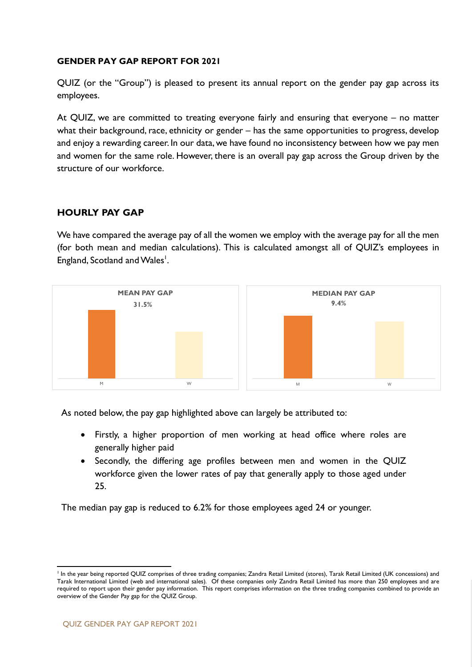#### GENDER PAY GAP REPORT FOR 2021

QUIZ (or the "Group") is pleased to present its annual report on the gender pay gap across its employees.

At QUIZ, we are committed to treating everyone fairly and ensuring that everyone – no matter what their background, race, ethnicity or gender – has the same opportunities to progress, develop and enjoy a rewarding career. In our data, we have found no inconsistency between how we pay men and women for the same role. However, there is an overall pay gap across the Group driven by the structure of our workforce.

## HOURLY PAY GAP

We have compared the average pay of all the women we employ with the average pay for all the men (for both mean and median calculations). This is calculated amongst all of QUIZ's employees in England, Scotland and Wales<sup>1</sup>.



As noted below, the pay gap highlighted above can largely be attributed to:

- Firstly, a higher proportion of men working at head office where roles are generally higher paid
- Secondly, the differing age profiles between men and women in the QUIZ workforce given the lower rates of pay that generally apply to those aged under 25.

The median pay gap is reduced to 6.2% for those employees aged 24 or younger.

 1 In the year being reported QUIZ comprises of three trading companies; Zandra Retail Limited (stores), Tarak Retail Limited (UK concessions) and Tarak International Limited (web and international sales). Of these companies only Zandra Retail Limited has more than 250 employees and are required to report upon their gender pay information. This report comprises information on the three trading companies combined to provide an overview of the Gender Pay gap for the QUIZ Group.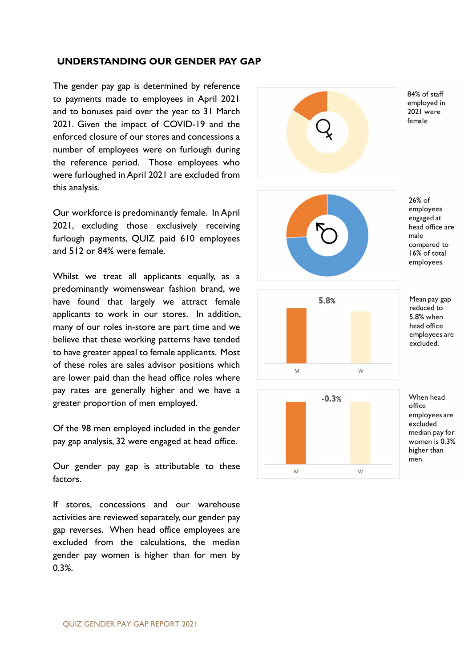#### UNDERSTANDING OUR GENDER PAY GAP

The gender pay gap is determined by reference to payments made to employees in April 2021 and to bonuses paid over the year to 31 March 2021. Given the impact of COVID-19 and the enforced closure of our stores and concessions a number of employees were on furlough during the reference period. Those employees who were furloughed in April 2021 are excluded from this analysis.

Our workforce is predominantly female. In April 2021, excluding those exclusively receiving furlough payments, QUIZ paid 610 employees and 512 or 84% were female.

Whilst we treat all applicants equally, as a predominantly womenswear fashion brand, we have found that largely we attract female applicants to work in our stores. In addition, many of our roles in-store are part time and we believe that these working patterns have tended to have greater appeal to female applicants. Most of these roles are sales advisor positions which are lower paid than the head office roles where pay rates are generally higher and we have a greater proportion of men employed.

Of the 98 men employed included in the gender pay gap analysis, 32 were engaged at head office.

Our gender pay gap is attributable to these factors.

If stores, concessions and our warehouse activities are reviewed separately, our gender pay gap reverses. When head office employees are excluded from the calculations, the median gender pay women is higher than for men by 0.3%.

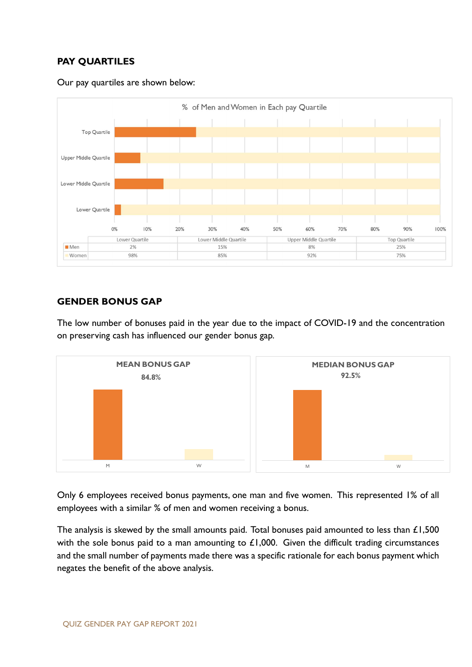# PAY QUARTILES





# GENDER BONUS GAP

The low number of bonuses paid in the year due to the impact of COVID-19 and the concentration on preserving cash has influenced our gender bonus gap.



Only 6 employees received bonus payments, one man and five women. This represented 1% of all employees with a similar % of men and women receiving a bonus.

The analysis is skewed by the small amounts paid. Total bonuses paid amounted to less than  $£1,500$ with the sole bonus paid to a man amounting to  $£1,000$ . Given the difficult trading circumstances and the small number of payments made there was a specific rationale for each bonus payment which negates the benefit of the above analysis.